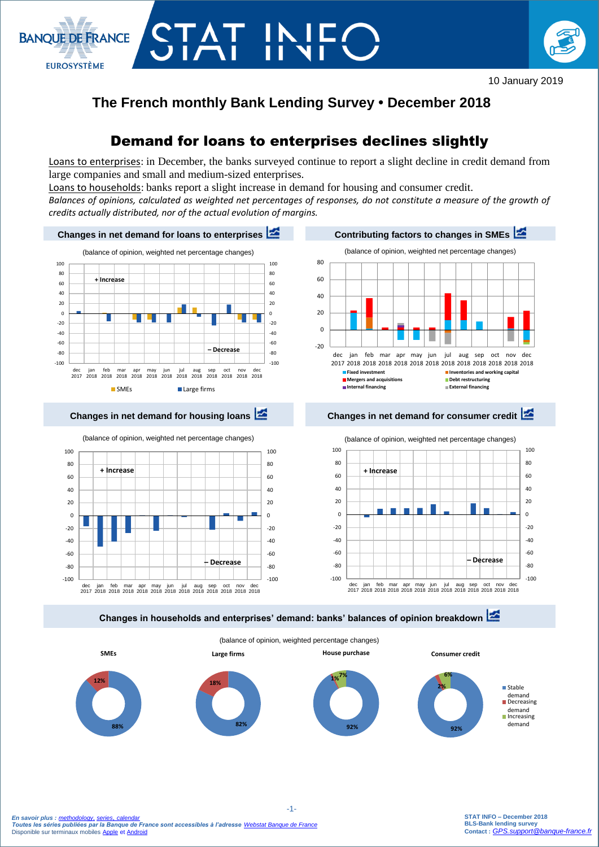

# **The French monthly Bank Lending Survey • December 2018**

# Demand for loans to enterprises declines slightly

Loans to enterprises: in December, the banks surveyed continue to report a slight decline in credit demand from large companies and small and medium-sized enterprises.

Loans to households: banks report a slight increase in demand for housing and consumer credit.

CTAT INI

**BANOUE DE FRANCE** 

**EUROSYSTÈME** 

*Balances of opinions, calculated as weighted net percentages of responses, do not constitute a measure of the growth of credits actually distributed, nor of the actual evolution of margins.*



**Changes in households and enterprises' demand: banks' balances of opinion breakdown** 

(balance of opinion, weighted percentage changes)